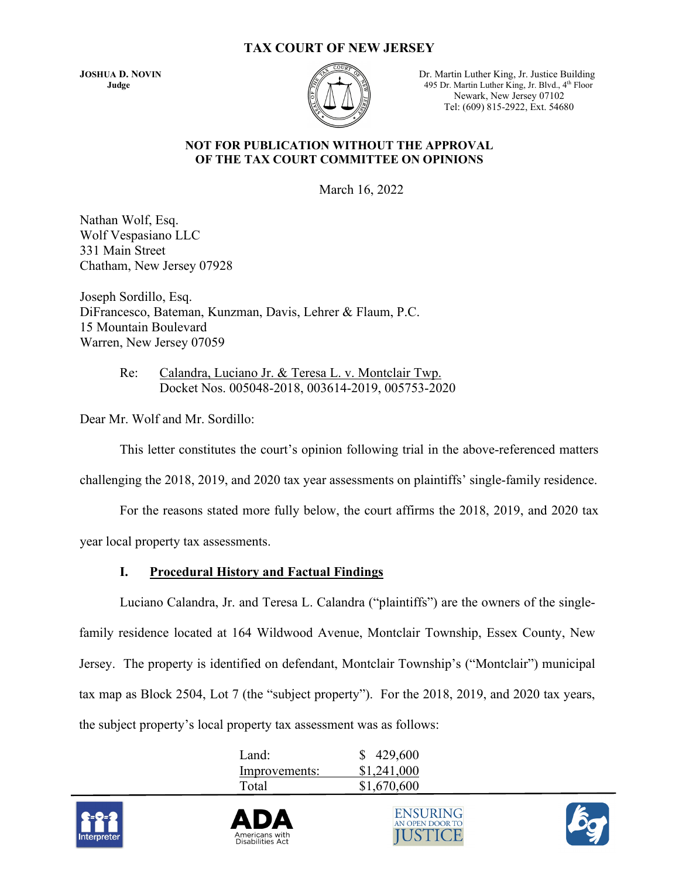### **TAX COURT OF NEW JERSEY**



**JOSHUA D. NOVIN** Dr. Martin Luther King, Jr. Justice Building **Judge** 495 Dr. Martin Luther King, Jr. Blvd., 4<sup>th</sup> Floor Newark, New Jersey 07102 Tel: (609) 815-2922, Ext. 54680

#### **NOT FOR PUBLICATION WITHOUT THE APPROVAL OF THE TAX COURT COMMITTEE ON OPINIONS**

March 16, 2022

Nathan Wolf, Esq. Wolf Vespasiano LLC 331 Main Street Chatham, New Jersey 07928

Joseph Sordillo, Esq. DiFrancesco, Bateman, Kunzman, Davis, Lehrer & Flaum, P.C. 15 Mountain Boulevard Warren, New Jersey 07059

> Re: Calandra, Luciano Jr. & Teresa L. v. Montclair Twp. Docket Nos. 005048-2018, 003614-2019, 005753-2020

Dear Mr. Wolf and Mr. Sordillo:

This letter constitutes the court's opinion following trial in the above-referenced matters

challenging the 2018, 2019, and 2020 tax year assessments on plaintiffs' single-family residence.

For the reasons stated more fully below, the court affirms the 2018, 2019, and 2020 tax

year local property tax assessments.

# **I. Procedural History and Factual Findings**

 Luciano Calandra, Jr. and Teresa L. Calandra ("plaintiffs") are the owners of the singlefamily residence located at 164 Wildwood Avenue, Montclair Township, Essex County, New Jersey. The property is identified on defendant, Montclair Township's ("Montclair") municipal tax map as Block 2504, Lot 7 (the "subject property"). For the 2018, 2019, and 2020 tax years, the subject property's local property tax assessment was as follows:

| Land:         | \$429,600   |
|---------------|-------------|
| Improvements: | \$1,241,000 |
| Total         | \$1,670,600 |







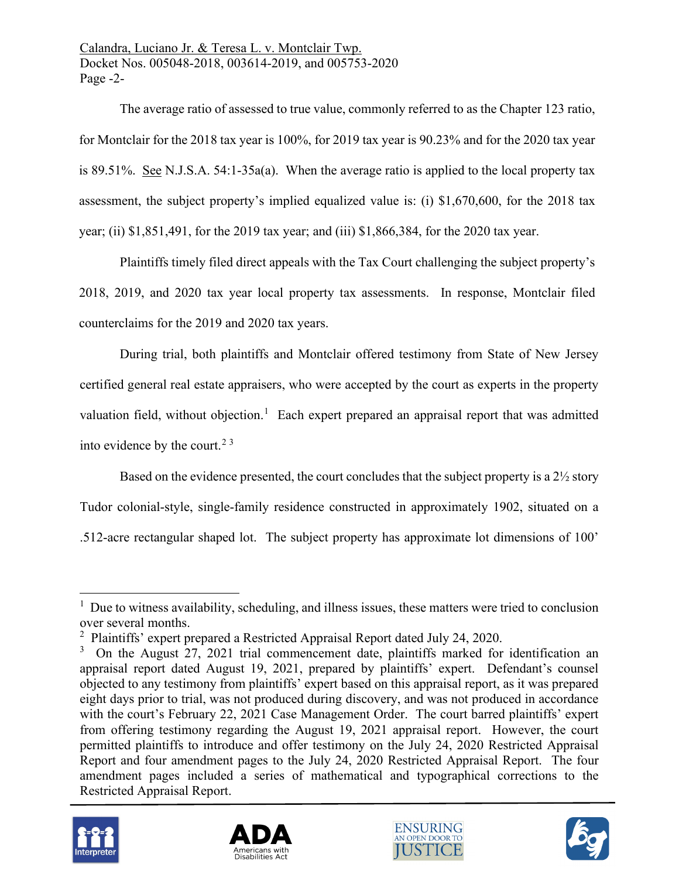Calandra, Luciano Jr. & Teresa L. v. Montclair Twp. Docket Nos. 005048-2018, 003614-2019, and 005753-2020 Page -2-

The average ratio of assessed to true value, commonly referred to as the Chapter 123 ratio, for Montclair for the 2018 tax year is 100%, for 2019 tax year is 90.23% and for the 2020 tax year is 89.51%. See [N.J.S.A.](https://advance.lexis.com/document/?pdmfid=1000516&crid=54a10ae1-d873-44e4-81c1-4519cb4d8ca0&pddocfullpath=%2Fshared%2Fdocument%2Fstatutes-legislation%2Furn%3AcontentItem%3A5D6M-28X0-004F-J4XT-00000-00&pdpinpoint=_a&pdcontentcomponentid=9077&pddoctitle=N.J.S.A.+54%3A1-35a(a)&ecomp=qk9g&prid=a2065c69-8741-4133-80d3-db8a727a77d5) [54:1-35a\(a\).](https://advance.lexis.com/document/?pdmfid=1000516&crid=54a10ae1-d873-44e4-81c1-4519cb4d8ca0&pddocfullpath=%2Fshared%2Fdocument%2Fstatutes-legislation%2Furn%3AcontentItem%3A5D6M-28X0-004F-J4XT-00000-00&pdpinpoint=_a&pdcontentcomponentid=9077&pddoctitle=N.J.S.A.+54%3A1-35a(a)&ecomp=qk9g&prid=a2065c69-8741-4133-80d3-db8a727a77d5) When the average ratio is applied to the local property tax assessment, the subject property's implied equalized value is: (i) \$1,670,600, for the 2018 tax year; (ii) \$1,851,491, for the 2019 tax year; and (iii) \$1,866,384, for the 2020 tax year.

Plaintiffs timely filed direct appeals with the Tax Court challenging the subject property's 2018, 2019, and 2020 tax year local property tax assessments. In response, Montclair filed counterclaims for the 2019 and 2020 tax years.

During trial, both plaintiffs and Montclair offered testimony from State of New Jersey certified general real estate appraisers, who were accepted by the court as experts in the property valuation field, without objection.<sup>[1](#page-1-0)</sup> Each expert prepared an appraisal report that was admitted into evidence by the court.<sup>[2](#page-1-1)[3](#page-1-2)</sup>

Based on the evidence presented, the court concludes that the subject property is a 2½ story Tudor colonial-style, single-family residence constructed in approximately 1902, situated on a .512-acre rectangular shaped lot. The subject property has approximate lot dimensions of 100'

<span id="page-1-2"></span><span id="page-1-1"></span> $3$  On the August 27, 2021 trial commencement date, plaintiffs marked for identification an appraisal report dated August 19, 2021, prepared by plaintiffs' expert. Defendant's counsel objected to any testimony from plaintiffs' expert based on this appraisal report, as it was prepared eight days prior to trial, was not produced during discovery, and was not produced in accordance with the court's February 22, 2021 Case Management Order. The court barred plaintiffs' expert from offering testimony regarding the August 19, 2021 appraisal report. However, the court permitted plaintiffs to introduce and offer testimony on the July 24, 2020 Restricted Appraisal Report and four amendment pages to the July 24, 2020 Restricted Appraisal Report. The four amendment pages included a series of mathematical and typographical corrections to the Restricted Appraisal Report.









<span id="page-1-0"></span><sup>&</sup>lt;sup>1</sup> Due to witness availability, scheduling, and illness issues, these matters were tried to conclusion over several months.

<sup>&</sup>lt;sup>2</sup> Plaintiffs' expert prepared a Restricted Appraisal Report dated July 24, 2020.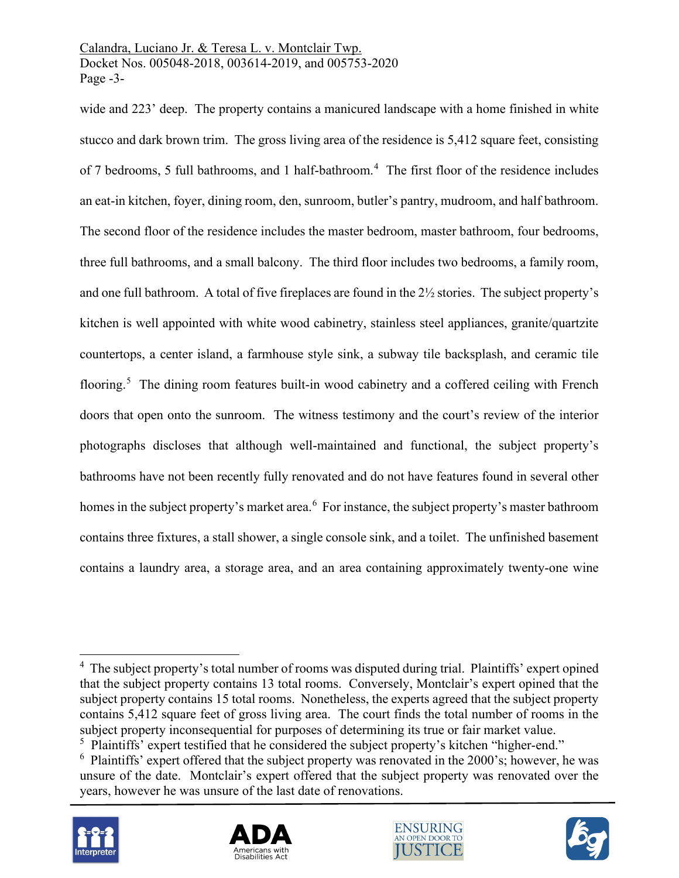wide and 223' deep. The property contains a manicured landscape with a home finished in white stucco and dark brown trim. The gross living area of the residence is 5,412 square feet, consisting of 7 bedrooms, 5 full bathrooms, and 1 half-bathroom. [4](#page-2-0) The first floor of the residence includes an eat-in kitchen, foyer, dining room, den, sunroom, butler's pantry, mudroom, and half bathroom. The second floor of the residence includes the master bedroom, master bathroom, four bedrooms, three full bathrooms, and a small balcony. The third floor includes two bedrooms, a family room, and one full bathroom. A total of five fireplaces are found in the 2½ stories. The subject property's kitchen is well appointed with white wood cabinetry, stainless steel appliances, granite/quartzite countertops, a center island, a farmhouse style sink, a subway tile backsplash, and ceramic tile flooring.<sup>[5](#page-2-1)</sup> The dining room features built-in wood cabinetry and a coffered ceiling with French doors that open onto the sunroom. The witness testimony and the court's review of the interior photographs discloses that although well-maintained and functional, the subject property's bathrooms have not been recently fully renovated and do not have features found in several other homes in the subject property's market area.<sup>[6](#page-2-2)</sup> For instance, the subject property's master bathroom contains three fixtures, a stall shower, a single console sink, and a toilet. The unfinished basement contains a laundry area, a storage area, and an area containing approximately twenty-one wine

<span id="page-2-2"></span><span id="page-2-1"></span><sup>&</sup>lt;sup>6</sup> Plaintiffs' expert offered that the subject property was renovated in the 2000's; however, he was unsure of the date. Montclair's expert offered that the subject property was renovated over the years, however he was unsure of the last date of renovations.









<span id="page-2-0"></span><sup>&</sup>lt;sup>4</sup> The subject property's total number of rooms was disputed during trial. Plaintiffs' expert opined that the subject property contains 13 total rooms. Conversely, Montclair's expert opined that the subject property contains 15 total rooms. Nonetheless, the experts agreed that the subject property contains 5,412 square feet of gross living area. The court finds the total number of rooms in the subject property inconsequential for purposes of determining its true or fair market value. <sup>5</sup> Plaintiffs' expert testified that he considered the subject property's kitchen "higher-end."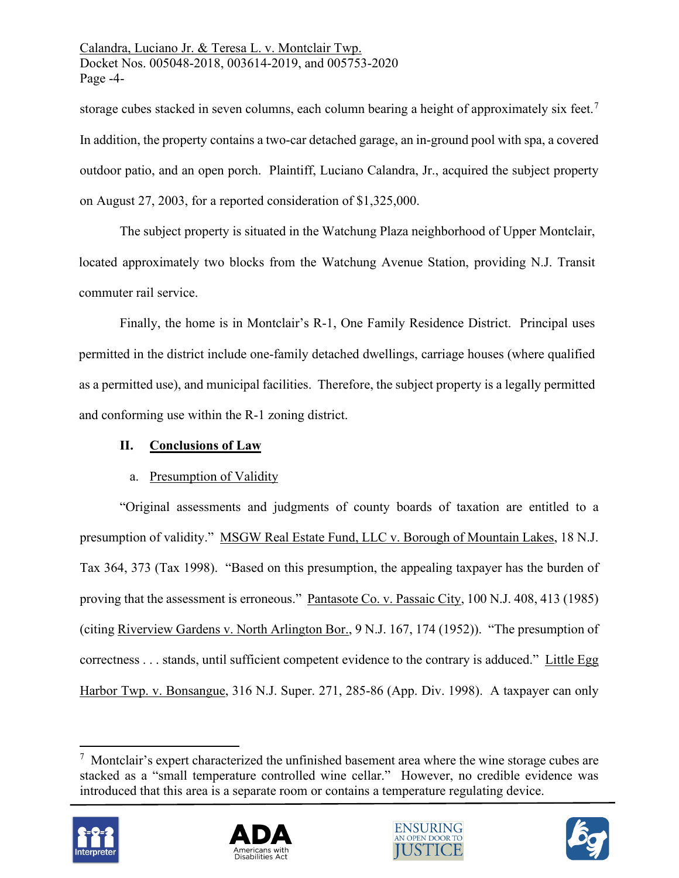storage cubes stacked in seven columns, each column bearing a height of approximately six feet.<sup>[7](#page-3-0)</sup> In addition, the property contains a two-car detached garage, an in-ground pool with spa, a covered outdoor patio, and an open porch. Plaintiff, Luciano Calandra, Jr., acquired the subject property on August 27, 2003, for a reported consideration of \$1,325,000.

The subject property is situated in the Watchung Plaza neighborhood of Upper Montclair, located approximately two blocks from the Watchung Avenue Station, providing N.J. Transit commuter rail service.

Finally, the home is in Montclair's R-1, One Family Residence District. Principal uses permitted in the district include one-family detached dwellings, carriage houses (where qualified as a permitted use), and municipal facilities. Therefore, the subject property is a legally permitted and conforming use within the R-1 zoning district.

# **II. Conclusions of Law**

# a. Presumption of Validity

"Original assessments and judgments of county boards of taxation are entitled to a presumption of validity." MSGW Real Estate Fund, LLC v. Borough of Mountain Lakes, 18 N.J. Tax 364, 373 (Tax 1998). "Based on this presumption, the appealing taxpayer has the burden of proving that the assessment is erroneous." Pantasote Co. v. Passaic City, 100 N.J. 408, 413 (1985) (citing Riverview Gardens v. North Arlington Bor., 9 N.J. 167, 174 (1952)). "The presumption of correctness . . . stands, until sufficient competent evidence to the contrary is adduced." Little Egg Harbor Twp. v. Bonsangue, 316 N.J. Super. 271, 285-86 (App. Div. 1998). A taxpayer can only

<span id="page-3-0"></span> $7$  Montclair's expert characterized the unfinished basement area where the wine storage cubes are stacked as a "small temperature controlled wine cellar." However, no credible evidence was introduced that this area is a separate room or contains a temperature regulating device.







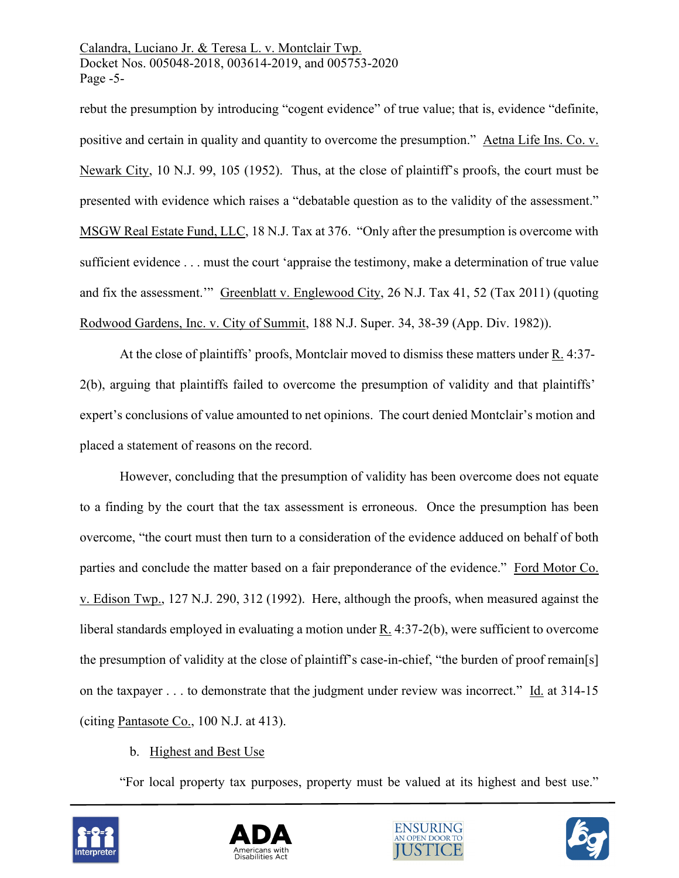Calandra, Luciano Jr. & Teresa L. v. Montclair Twp. Docket Nos. 005048-2018, 003614-2019, and 005753-2020 Page -5-

rebut the presumption by introducing "cogent evidence" of true value; that is, evidence "definite, positive and certain in quality and quantity to overcome the presumption." [Aetna Life Ins. Co. v.](https://advance.lexis.com/api/document/collection/cases/id/3S3J-W3W0-003C-P1Y2-00000-00?page=105&reporter=3300&context=1000516)  [Newark City, 10 N.J. 99, 105 \(1952\).](https://advance.lexis.com/api/document/collection/cases/id/3S3J-W3W0-003C-P1Y2-00000-00?page=105&reporter=3300&context=1000516) Thus, at the close of plaintiff's proofs, the court must be presented with evidence which raises a "debatable question as to the validity of the assessment." MSGW Real Estate Fund, LLC, 18 N.J. Tax at 376. "Only after the presumption is overcome with sufficient evidence . . . must the court 'appraise the testimony, make a determination of true value and fix the assessment." Greenblatt v. Englewood City, 26 N.J. Tax 41, 52 (Tax 2011) (quoting Rodwood Gardens, Inc. v. City of Summit, 188 N.J. Super. 34, 38-39 (App. Div. 1982)).

At the close of plaintiffs' proofs, Montclair moved to dismiss these matters under R. 4:37- 2(b), arguing that plaintiffs failed to overcome the presumption of validity and that plaintiffs' expert's conclusions of value amounted to net opinions. The court denied Montclair's motion and placed a statement of reasons on the record.

However, concluding that the presumption of validity has been overcome does not equate to a finding by the court that the tax assessment is erroneous. Once the presumption has been overcome, "the court must then turn to a consideration of the evidence adduced on behalf of both parties and conclude the matter based on a fair preponderance of the evidence." Ford Motor Co. v. Edison Twp., 127 N.J. 290, 312 (1992). Here, although the proofs, when measured against the liberal standards employed in evaluating a motion under R. 4:37-2(b), were sufficient to overcome the presumption of validity at the close of plaintiff's case-in-chief, "the burden of proof remain[s] on the taxpayer . . . to demonstrate that the judgment under review was incorrect." Id. at 314-15 (citing Pantasote Co., 100 N.J. at 413).

# b. Highest and Best Use

"For local property tax purposes, property must be valued at its highest and best use."







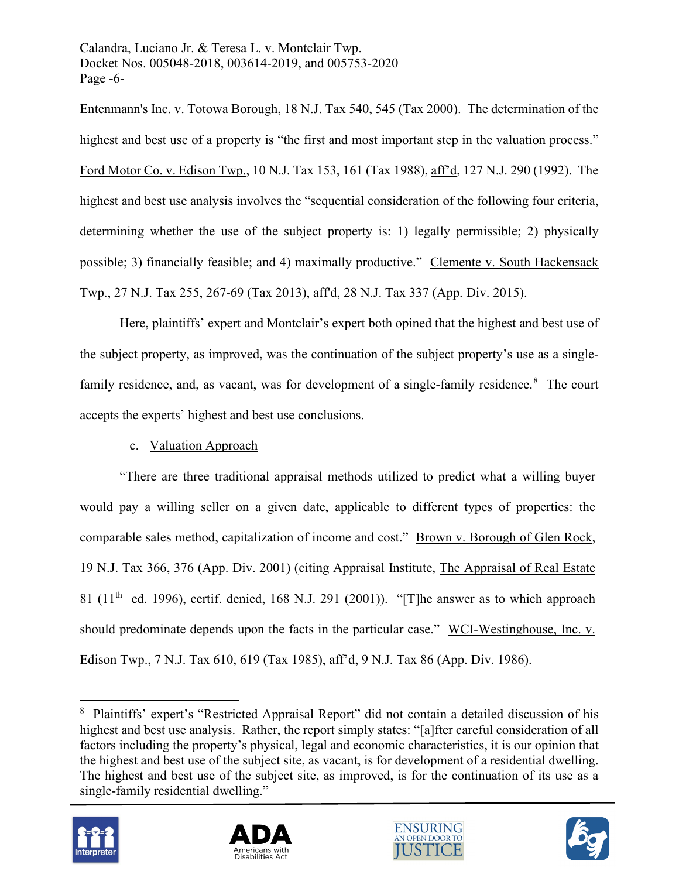Calandra, Luciano Jr. & Teresa L. v. Montclair Twp. Docket Nos. 005048-2018, 003614-2019, and 005753-2020 Page -6-

Entenmann's Inc. v. Totowa Borough, 18 N.J. Tax 540, 545 (Tax 2000). The determination of the highest and best use of a property is "the first and most important step in the valuation process." Ford Motor Co. v. Edison Twp., 10 N.J. Tax 153, 161 (Tax 1988), aff'd, 127 N.J. 290 (1992). The highest and best use analysis involves the "sequential consideration of the following four criteria, determining whether the use of the subject property is: 1) legally permissible; 2) physically possible; 3) financially feasible; and 4) maximally productive." Clemente v. South Hackensack Twp., 27 N.J. Tax 255, 267-69 (Tax 2013), aff'd, 28 N.J. Tax 337 (App. Div. 2015).

Here, plaintiffs' expert and Montclair's expert both opined that the highest and best use of the subject property, as improved, was the continuation of the subject property's use as a single-family residence, and, as vacant, was for development of a single-family residence.<sup>[8](#page-5-0)</sup> The court accepts the experts' highest and best use conclusions.

# c. Valuation Approach

"There are three traditional appraisal methods utilized to predict what a willing buyer would pay a willing seller on a given date, applicable to different types of properties: the comparable sales method, capitalization of income and cost." [Brown v. Borough of Glen Rock,](https://advance.lexis.com/api/document/collection/cases/id/448X-D1M0-003C-P004-00000-00?page=376&reporter=3305&context=1000516) [19 N.J. Tax](https://advance.lexis.com/api/document/collection/cases/id/448X-D1M0-003C-P004-00000-00?page=376&reporter=3305&context=1000516) [366,](https://advance.lexis.com/api/document/collection/cases/id/448X-D1M0-003C-P004-00000-00?page=376&reporter=3305&context=1000516) [376 \(App.](https://advance.lexis.com/api/document/collection/cases/id/448X-D1M0-003C-P004-00000-00?page=376&reporter=3305&context=1000516) [Div.](https://advance.lexis.com/api/document/collection/cases/id/448X-D1M0-003C-P004-00000-00?page=376&reporter=3305&context=1000516) [2001\)](https://advance.lexis.com/api/document/collection/cases/id/448X-D1M0-003C-P004-00000-00?page=376&reporter=3305&context=1000516) [\(c](https://advance.lexis.com/api/document/collection/cases/id/448X-D1M0-003C-P004-00000-00?page=376&reporter=3305&context=1000516)iting Appraisal Institute, The Appraisal of Real Estate 81 ( $11<sup>th</sup>$  ed. 1996), certif. denied, 168 N.J. 291 (2001)). "[T]he answer as to which approach should predominate depends upon the facts in the particular case." WCI-Westinghouse, Inc. v. Edison Twp., 7 N.J. Tax 610, 619 (Tax 1985), aff'd, 9 N.J. Tax 86 (App. Div. 1986).

<span id="page-5-0"></span><sup>&</sup>lt;sup>8</sup> Plaintiffs' expert's "Restricted Appraisal Report" did not contain a detailed discussion of his highest and best use analysis. Rather, the report simply states: "[a]fter careful consideration of all factors including the property's physical, legal and economic characteristics, it is our opinion that the highest and best use of the subject site, as vacant, is for development of a residential dwelling. The highest and best use of the subject site, as improved, is for the continuation of its use as a single-family residential dwelling."







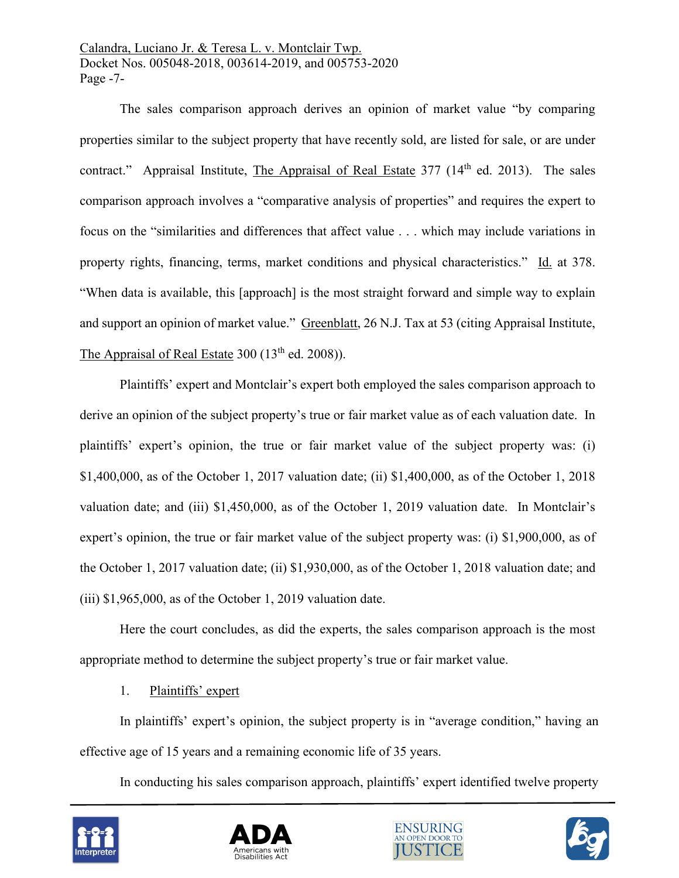Calandra, Luciano Jr. & Teresa L. v. Montclair Twp. Docket Nos. 005048-2018, 003614-2019, and 005753-2020 Page -7-

The sales comparison approach derives an opinion of market value "by comparing properties similar to the subject property that have recently sold, are listed for sale, or are under contract." Appraisal Institute, The Appraisal of Real Estate  $377$  (14<sup>th</sup> ed. 2013). The sales comparison approach involves a "comparative analysis of properties" and requires the expert to focus on the "similarities and differences that affect value . . . which may include variations in property rights, financing, terms, market conditions and physical characteristics." Id. at 378. "When data is available, this [approach] is the most straight forward and simple way to explain and support an opinion of market value." Greenblatt, 26 N.J. Tax at 53 (citing Appraisal Institute, The Appraisal of Real Estate  $300$  ( $13<sup>th</sup>$  ed.  $2008$ )).

Plaintiffs' expert and Montclair's expert both employed the sales comparison approach to derive an opinion of the subject property's true or fair market value as of each valuation date. In plaintiffs' expert's opinion, the true or fair market value of the subject property was: (i) \$1,400,000, as of the October 1, 2017 valuation date; (ii) \$1,400,000, as of the October 1, 2018 valuation date; and (iii) \$1,450,000, as of the October 1, 2019 valuation date. In Montclair's expert's opinion, the true or fair market value of the subject property was: (i) \$1,900,000, as of the October 1, 2017 valuation date; (ii) \$1,930,000, as of the October 1, 2018 valuation date; and (iii) \$1,965,000, as of the October 1, 2019 valuation date.

Here the court concludes, as did the experts, the sales comparison approach is the most appropriate method to determine the subject property's true or fair market value.

# 1. Plaintiffs' expert

In plaintiffs' expert's opinion, the subject property is in "average condition," having an effective age of 15 years and a remaining economic life of 35 years.

In conducting his sales comparison approach, plaintiffs' expert identified twelve property







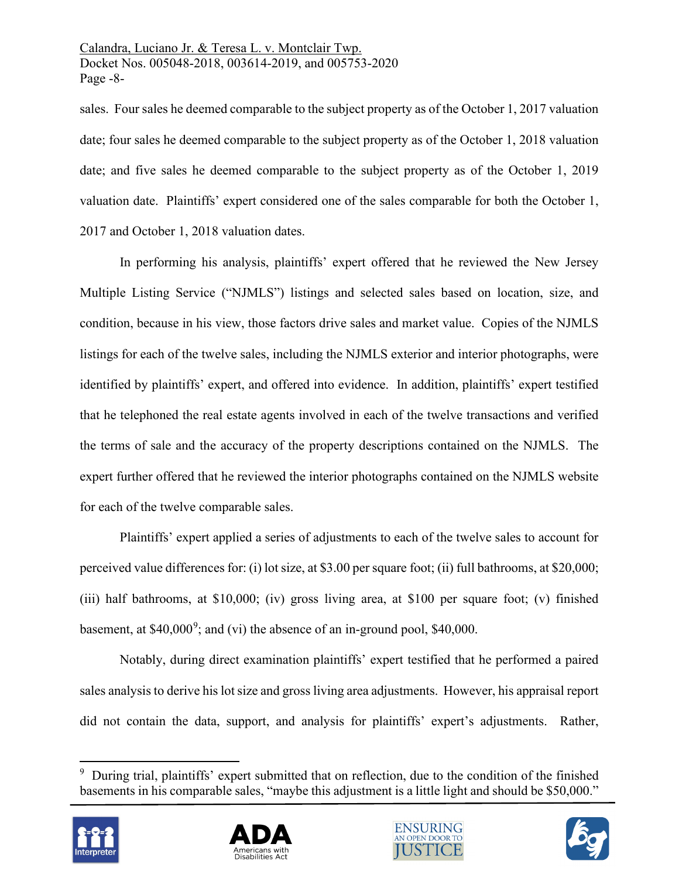Calandra, Luciano Jr. & Teresa L. v. Montclair Twp. Docket Nos. 005048-2018, 003614-2019, and 005753-2020 Page -8-

sales. Four sales he deemed comparable to the subject property as of the October 1, 2017 valuation date; four sales he deemed comparable to the subject property as of the October 1, 2018 valuation date; and five sales he deemed comparable to the subject property as of the October 1, 2019 valuation date. Plaintiffs' expert considered one of the sales comparable for both the October 1, 2017 and October 1, 2018 valuation dates.

In performing his analysis, plaintiffs' expert offered that he reviewed the New Jersey Multiple Listing Service ("NJMLS") listings and selected sales based on location, size, and condition, because in his view, those factors drive sales and market value. Copies of the NJMLS listings for each of the twelve sales, including the NJMLS exterior and interior photographs, were identified by plaintiffs' expert, and offered into evidence. In addition, plaintiffs' expert testified that he telephoned the real estate agents involved in each of the twelve transactions and verified the terms of sale and the accuracy of the property descriptions contained on the NJMLS. The expert further offered that he reviewed the interior photographs contained on the NJMLS website for each of the twelve comparable sales.

Plaintiffs' expert applied a series of adjustments to each of the twelve sales to account for perceived value differences for: (i) lot size, at \$3.00 per square foot; (ii) full bathrooms, at \$20,000; (iii) half bathrooms, at \$10,000; (iv) gross living area, at \$100 per square foot; (v) finished basement, at \$40,000<sup>[9](#page-7-0)</sup>; and (vi) the absence of an in-ground pool, \$40,000.

Notably, during direct examination plaintiffs' expert testified that he performed a paired sales analysis to derive his lot size and gross living area adjustments. However, his appraisal report did not contain the data, support, and analysis for plaintiffs' expert's adjustments. Rather,

<span id="page-7-0"></span><sup>&</sup>lt;sup>9</sup> During trial, plaintiffs' expert submitted that on reflection, due to the condition of the finished basements in his comparable sales, "maybe this adjustment is a little light and should be \$50,000."







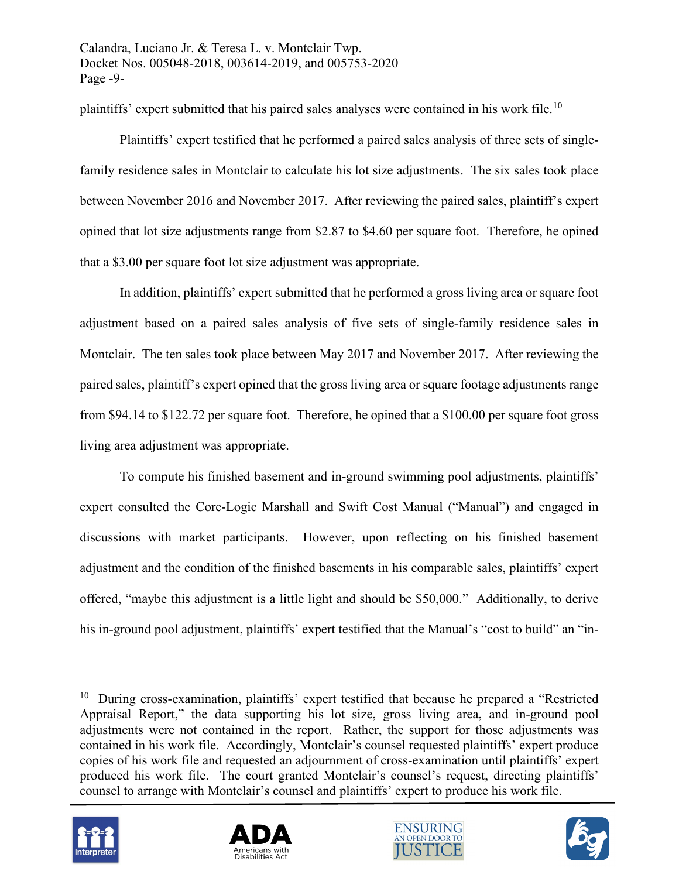plaintiffs' expert submitted that his paired sales analyses were contained in his work file.[10](#page-8-0)

Plaintiffs' expert testified that he performed a paired sales analysis of three sets of singlefamily residence sales in Montclair to calculate his lot size adjustments. The six sales took place between November 2016 and November 2017. After reviewing the paired sales, plaintiff's expert opined that lot size adjustments range from \$2.87 to \$4.60 per square foot. Therefore, he opined that a \$3.00 per square foot lot size adjustment was appropriate.

In addition, plaintiffs' expert submitted that he performed a gross living area or square foot adjustment based on a paired sales analysis of five sets of single-family residence sales in Montclair. The ten sales took place between May 2017 and November 2017. After reviewing the paired sales, plaintiff's expert opined that the gross living area or square footage adjustments range from \$94.14 to \$122.72 per square foot. Therefore, he opined that a \$100.00 per square foot gross living area adjustment was appropriate.

To compute his finished basement and in-ground swimming pool adjustments, plaintiffs' expert consulted the Core-Logic Marshall and Swift Cost Manual ("Manual") and engaged in discussions with market participants. However, upon reflecting on his finished basement adjustment and the condition of the finished basements in his comparable sales, plaintiffs' expert offered, "maybe this adjustment is a little light and should be \$50,000." Additionally, to derive his in-ground pool adjustment, plaintiffs' expert testified that the Manual's "cost to build" an "in-

<span id="page-8-0"></span><sup>&</sup>lt;sup>10</sup> During cross-examination, plaintiffs' expert testified that because he prepared a "Restricted Appraisal Report," the data supporting his lot size, gross living area, and in-ground pool adjustments were not contained in the report. Rather, the support for those adjustments was contained in his work file. Accordingly, Montclair's counsel requested plaintiffs' expert produce copies of his work file and requested an adjournment of cross-examination until plaintiffs' expert produced his work file. The court granted Montclair's counsel's request, directing plaintiffs' counsel to arrange with Montclair's counsel and plaintiffs' expert to produce his work file.







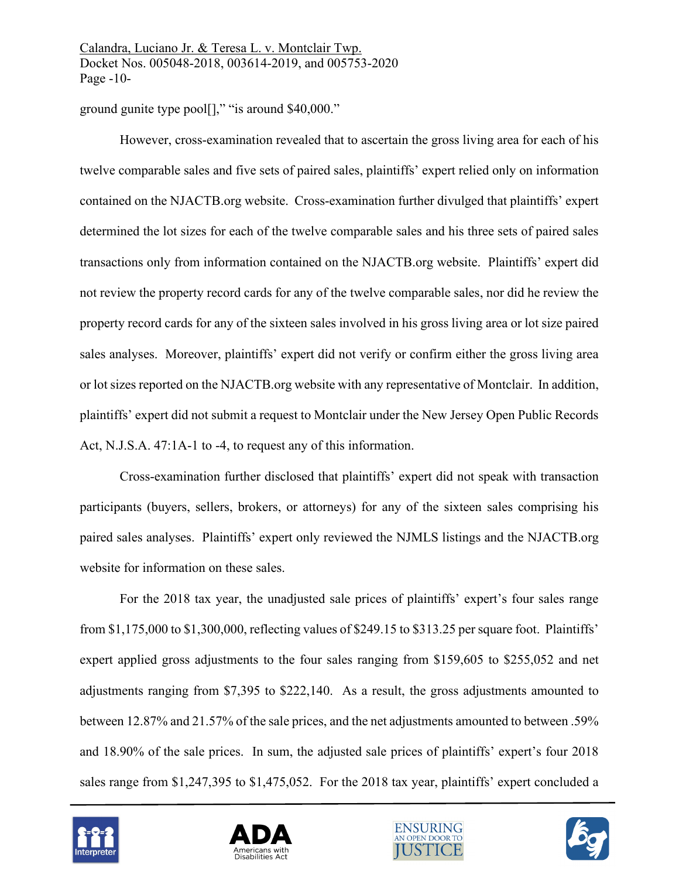ground gunite type pool[]," "is around \$40,000."

However, cross-examination revealed that to ascertain the gross living area for each of his twelve comparable sales and five sets of paired sales, plaintiffs' expert relied only on information contained on the NJACTB.org website. Cross-examination further divulged that plaintiffs' expert determined the lot sizes for each of the twelve comparable sales and his three sets of paired sales transactions only from information contained on the NJACTB.org website. Plaintiffs' expert did not review the property record cards for any of the twelve comparable sales, nor did he review the property record cards for any of the sixteen sales involved in his gross living area or lot size paired sales analyses. Moreover, plaintiffs' expert did not verify or confirm either the gross living area or lot sizes reported on the NJACTB.org website with any representative of Montclair. In addition, plaintiffs' expert did not submit a request to Montclair under the New Jersey Open Public Records Act, N.J.S.A. 47:1A-1 to -4, to request any of this information.

Cross-examination further disclosed that plaintiffs' expert did not speak with transaction participants (buyers, sellers, brokers, or attorneys) for any of the sixteen sales comprising his paired sales analyses. Plaintiffs' expert only reviewed the NJMLS listings and the NJACTB.org website for information on these sales.

For the 2018 tax year, the unadjusted sale prices of plaintiffs' expert's four sales range from \$1,175,000 to \$1,300,000, reflecting values of \$249.15 to \$313.25 per square foot. Plaintiffs' expert applied gross adjustments to the four sales ranging from \$159,605 to \$255,052 and net adjustments ranging from \$7,395 to \$222,140. As a result, the gross adjustments amounted to between 12.87% and 21.57% of the sale prices, and the net adjustments amounted to between .59% and 18.90% of the sale prices. In sum, the adjusted sale prices of plaintiffs' expert's four 2018 sales range from \$1,247,395 to \$1,475,052. For the 2018 tax year, plaintiffs' expert concluded a







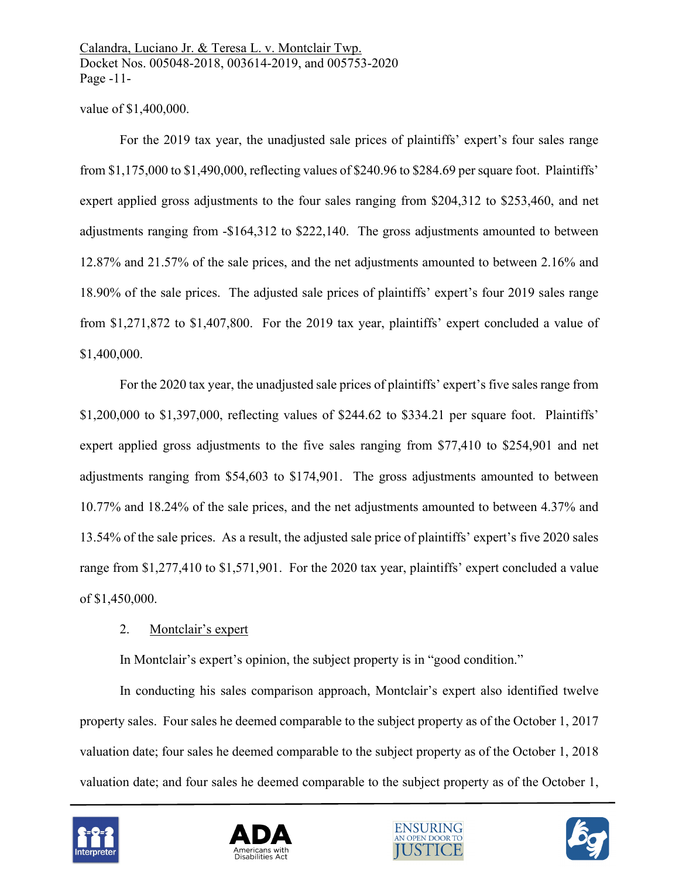Calandra, Luciano Jr. & Teresa L. v. Montclair Twp. Docket Nos. 005048-2018, 003614-2019, and 005753-2020 Page -11-

### value of \$1,400,000.

For the 2019 tax year, the unadjusted sale prices of plaintiffs' expert's four sales range from \$1,175,000 to \$1,490,000, reflecting values of \$240.96 to \$284.69 per square foot. Plaintiffs' expert applied gross adjustments to the four sales ranging from \$204,312 to \$253,460, and net adjustments ranging from -\$164,312 to \$222,140. The gross adjustments amounted to between 12.87% and 21.57% of the sale prices, and the net adjustments amounted to between 2.16% and 18.90% of the sale prices. The adjusted sale prices of plaintiffs' expert's four 2019 sales range from \$1,271,872 to \$1,407,800. For the 2019 tax year, plaintiffs' expert concluded a value of \$1,400,000.

For the 2020 tax year, the unadjusted sale prices of plaintiffs' expert's five sales range from \$1,200,000 to \$1,397,000, reflecting values of \$244.62 to \$334.21 per square foot. Plaintiffs' expert applied gross adjustments to the five sales ranging from \$77,410 to \$254,901 and net adjustments ranging from \$54,603 to \$174,901. The gross adjustments amounted to between 10.77% and 18.24% of the sale prices, and the net adjustments amounted to between 4.37% and 13.54% of the sale prices. As a result, the adjusted sale price of plaintiffs' expert's five 2020 sales range from \$1,277,410 to \$1,571,901. For the 2020 tax year, plaintiffs' expert concluded a value of \$1,450,000.

# 2. Montclair's expert

In Montclair's expert's opinion, the subject property is in "good condition."

In conducting his sales comparison approach, Montclair's expert also identified twelve property sales. Four sales he deemed comparable to the subject property as of the October 1, 2017 valuation date; four sales he deemed comparable to the subject property as of the October 1, 2018 valuation date; and four sales he deemed comparable to the subject property as of the October 1,







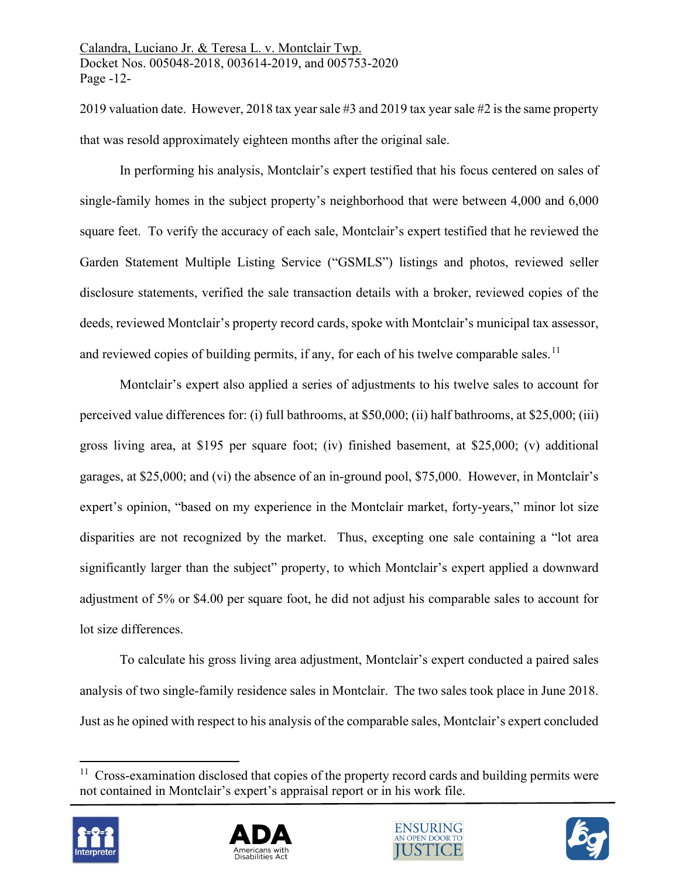2019 valuation date. However, 2018 tax year sale #3 and 2019 tax year sale #2 isthe same property that was resold approximately eighteen months after the original sale.

In performing his analysis, Montclair's expert testified that his focus centered on sales of single-family homes in the subject property's neighborhood that were between 4,000 and 6,000 square feet. To verify the accuracy of each sale, Montclair's expert testified that he reviewed the Garden Statement Multiple Listing Service ("GSMLS") listings and photos, reviewed seller disclosure statements, verified the sale transaction details with a broker, reviewed copies of the deeds, reviewed Montclair's property record cards, spoke with Montclair's municipal tax assessor, and reviewed copies of building permits, if any, for each of his twelve comparable sales.<sup>[11](#page-11-0)</sup>

Montclair's expert also applied a series of adjustments to his twelve sales to account for perceived value differences for: (i) full bathrooms, at \$50,000; (ii) half bathrooms, at \$25,000; (iii) gross living area, at \$195 per square foot; (iv) finished basement, at \$25,000; (v) additional garages, at \$25,000; and (vi) the absence of an in-ground pool, \$75,000. However, in Montclair's expert's opinion, "based on my experience in the Montclair market, forty-years," minor lot size disparities are not recognized by the market. Thus, excepting one sale containing a "lot area significantly larger than the subject" property, to which Montclair's expert applied a downward adjustment of 5% or \$4.00 per square foot, he did not adjust his comparable sales to account for lot size differences.

To calculate his gross living area adjustment, Montclair's expert conducted a paired sales analysis of two single-family residence sales in Montclair. The two sales took place in June 2018. Just as he opined with respect to his analysis of the comparable sales, Montclair's expert concluded

<span id="page-11-0"></span> $11$  Cross-examination disclosed that copies of the property record cards and building permits were not contained in Montclair's expert's appraisal report or in his work file.







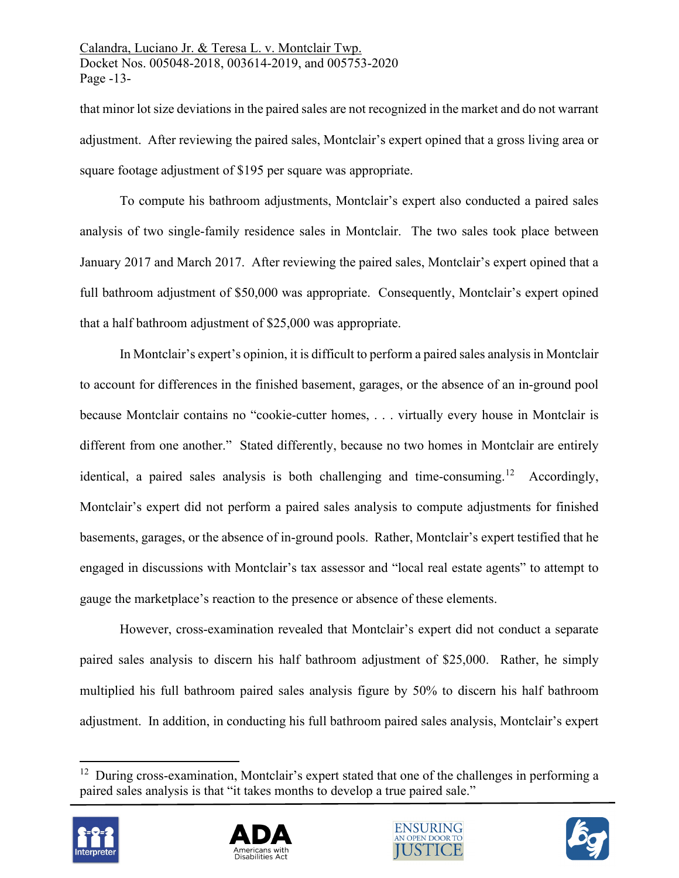that minor lot size deviations in the paired sales are not recognized in the market and do not warrant adjustment. After reviewing the paired sales, Montclair's expert opined that a gross living area or square footage adjustment of \$195 per square was appropriate.

To compute his bathroom adjustments, Montclair's expert also conducted a paired sales analysis of two single-family residence sales in Montclair. The two sales took place between January 2017 and March 2017. After reviewing the paired sales, Montclair's expert opined that a full bathroom adjustment of \$50,000 was appropriate. Consequently, Montclair's expert opined that a half bathroom adjustment of \$25,000 was appropriate.

In Montclair's expert's opinion, it is difficult to perform a paired sales analysis in Montclair to account for differences in the finished basement, garages, or the absence of an in-ground pool because Montclair contains no "cookie-cutter homes, . . . virtually every house in Montclair is different from one another." Stated differently, because no two homes in Montclair are entirely identical, a paired sales analysis is both challenging and time-consuming.<sup>[12](#page-12-0)</sup> Accordingly, Montclair's expert did not perform a paired sales analysis to compute adjustments for finished basements, garages, or the absence of in-ground pools. Rather, Montclair's expert testified that he engaged in discussions with Montclair's tax assessor and "local real estate agents" to attempt to gauge the marketplace's reaction to the presence or absence of these elements.

However, cross-examination revealed that Montclair's expert did not conduct a separate paired sales analysis to discern his half bathroom adjustment of \$25,000. Rather, he simply multiplied his full bathroom paired sales analysis figure by 50% to discern his half bathroom adjustment. In addition, in conducting his full bathroom paired sales analysis, Montclair's expert

<span id="page-12-0"></span><sup>&</sup>lt;sup>12</sup> During cross-examination, Montclair's expert stated that one of the challenges in performing a paired sales analysis is that "it takes months to develop a true paired sale."







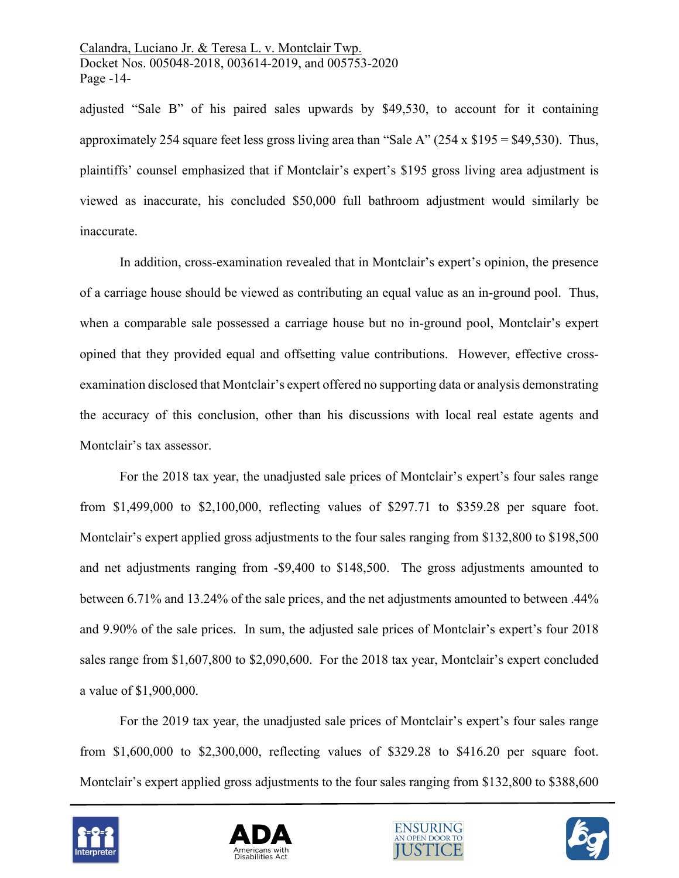Calandra, Luciano Jr. & Teresa L. v. Montclair Twp. Docket Nos. 005048-2018, 003614-2019, and 005753-2020 Page -14-

adjusted "Sale B" of his paired sales upwards by \$49,530, to account for it containing approximately 254 square feet less gross living area than "Sale A" (254 x \$195 = \$49,530). Thus, plaintiffs' counsel emphasized that if Montclair's expert's \$195 gross living area adjustment is viewed as inaccurate, his concluded \$50,000 full bathroom adjustment would similarly be inaccurate.

In addition, cross-examination revealed that in Montclair's expert's opinion, the presence of a carriage house should be viewed as contributing an equal value as an in-ground pool. Thus, when a comparable sale possessed a carriage house but no in-ground pool, Montclair's expert opined that they provided equal and offsetting value contributions. However, effective crossexamination disclosed that Montclair's expert offered no supporting data or analysis demonstrating the accuracy of this conclusion, other than his discussions with local real estate agents and Montclair's tax assessor.

For the 2018 tax year, the unadjusted sale prices of Montclair's expert's four sales range from \$1,499,000 to \$2,100,000, reflecting values of \$297.71 to \$359.28 per square foot. Montclair's expert applied gross adjustments to the four sales ranging from \$132,800 to \$198,500 and net adjustments ranging from -\$9,400 to \$148,500. The gross adjustments amounted to between 6.71% and 13.24% of the sale prices, and the net adjustments amounted to between .44% and 9.90% of the sale prices. In sum, the adjusted sale prices of Montclair's expert's four 2018 sales range from \$1,607,800 to \$2,090,600. For the 2018 tax year, Montclair's expert concluded a value of \$1,900,000.

For the 2019 tax year, the unadjusted sale prices of Montclair's expert's four sales range from \$1,600,000 to \$2,300,000, reflecting values of \$329.28 to \$416.20 per square foot. Montclair's expert applied gross adjustments to the four sales ranging from \$132,800 to \$388,600







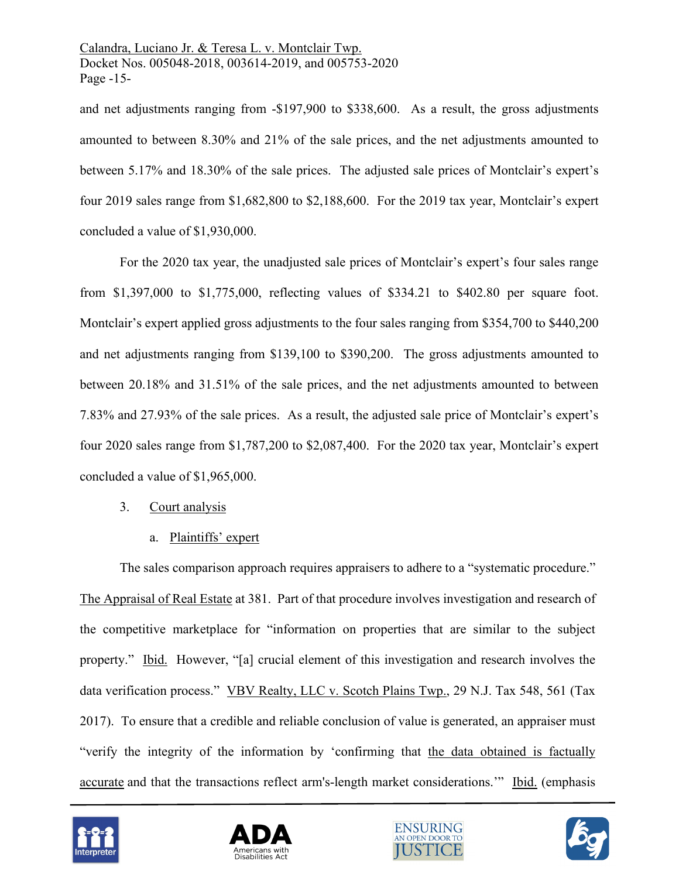and net adjustments ranging from -\$197,900 to \$338,600. As a result, the gross adjustments amounted to between 8.30% and 21% of the sale prices, and the net adjustments amounted to between 5.17% and 18.30% of the sale prices. The adjusted sale prices of Montclair's expert's four 2019 sales range from \$1,682,800 to \$2,188,600. For the 2019 tax year, Montclair's expert concluded a value of \$1,930,000.

For the 2020 tax year, the unadjusted sale prices of Montclair's expert's four sales range from \$1,397,000 to \$1,775,000, reflecting values of \$334.21 to \$402.80 per square foot. Montclair's expert applied gross adjustments to the four sales ranging from \$354,700 to \$440,200 and net adjustments ranging from \$139,100 to \$390,200. The gross adjustments amounted to between 20.18% and 31.51% of the sale prices, and the net adjustments amounted to between 7.83% and 27.93% of the sale prices. As a result, the adjusted sale price of Montclair's expert's four 2020 sales range from \$1,787,200 to \$2,087,400. For the 2020 tax year, Montclair's expert concluded a value of \$1,965,000.

- 3. Court analysis
	- a. Plaintiffs' expert

The sales comparison approach requires appraisers to adhere to a "systematic procedure." The Appraisal of Real Estate at 381. Part of that procedure involves investigation and research of the competitive marketplace for "information on properties that are similar to the subject property." Ibid. However, "[a] crucial element of this investigation and research involves the data verification process." VBV Realty, LLC v. Scotch Plains Twp., 29 N.J. Tax 548, 561 (Tax 2017). To ensure that a credible and reliable conclusion of value is generated, an appraiser must "verify the integrity of the information by 'confirming that the data obtained is factually accurate and that the transactions reflect arm's-length market considerations.'" Ibid. (emphasis







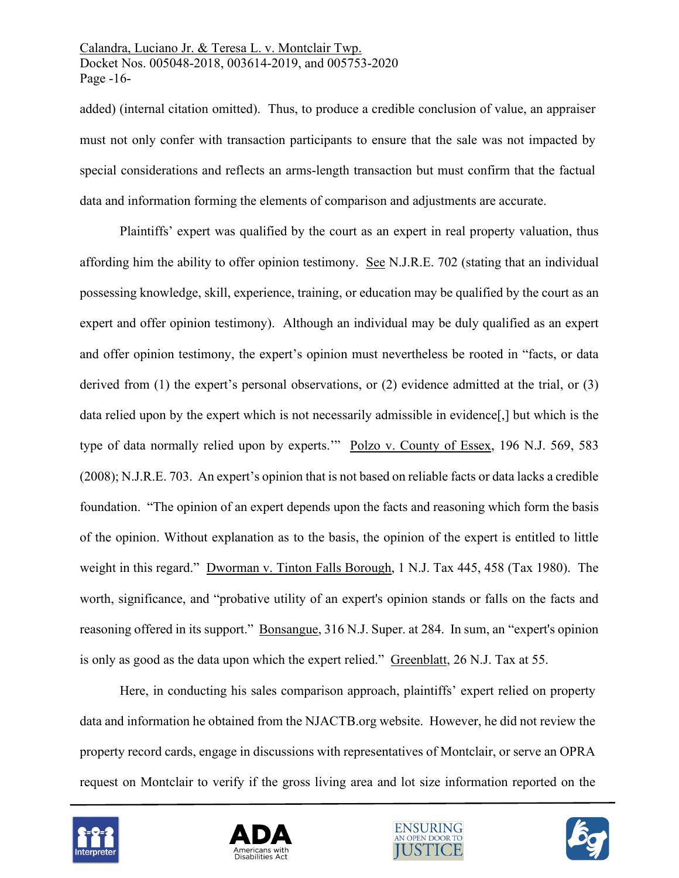Calandra, Luciano Jr. & Teresa L. v. Montclair Twp. Docket Nos. 005048-2018, 003614-2019, and 005753-2020 Page -16-

added) (internal citation omitted). Thus, to produce a credible conclusion of value, an appraiser must not only confer with transaction participants to ensure that the sale was not impacted by special considerations and reflects an arms-length transaction but must confirm that the factual data and information forming the elements of comparison and adjustments are accurate.

Plaintiffs' expert was qualified by the court as an expert in real property valuation, thus affording him the ability to offer opinion testimony. See N.J.R.E. 702 (stating that an individual possessing knowledge, skill, experience, training, or education may be qualified by the court as an expert and offer opinion testimony). Although an individual may be duly qualified as an expert and offer opinion testimony, the expert's opinion must nevertheless be rooted in "facts, or data derived from (1) the expert's personal observations, or (2) evidence admitted at the trial, or (3) data relied upon by the expert which is not necessarily admissible in evidence[,] but which is the type of data normally relied upon by experts.'" Polzo v. County of Essex, 196 N.J. 569, 583 (2008); N.J.R.E. 703. An expert's opinion that is not based on reliable facts or data lacks a credible foundation. "The opinion of an expert depends upon the facts and reasoning which form the basis of the opinion. Without explanation as to the basis, the opinion of the expert is entitled to little weight in this regard." Dworman v. Tinton Falls Borough, 1 N.J. Tax 445, 458 (Tax 1980). The worth, significance, and "probative utility of an expert's opinion stands or falls on the facts and reasoning offered in its support." Bonsangue, 316 N.J. Super. at 284. In sum, an "expert's opinion is only as good as the data upon which the expert relied." Greenblatt, 26 N.J. Tax at 55.

Here, in conducting his sales comparison approach, plaintiffs' expert relied on property data and information he obtained from the NJACTB.org website. However, he did not review the property record cards, engage in discussions with representatives of Montclair, or serve an OPRA request on Montclair to verify if the gross living area and lot size information reported on the







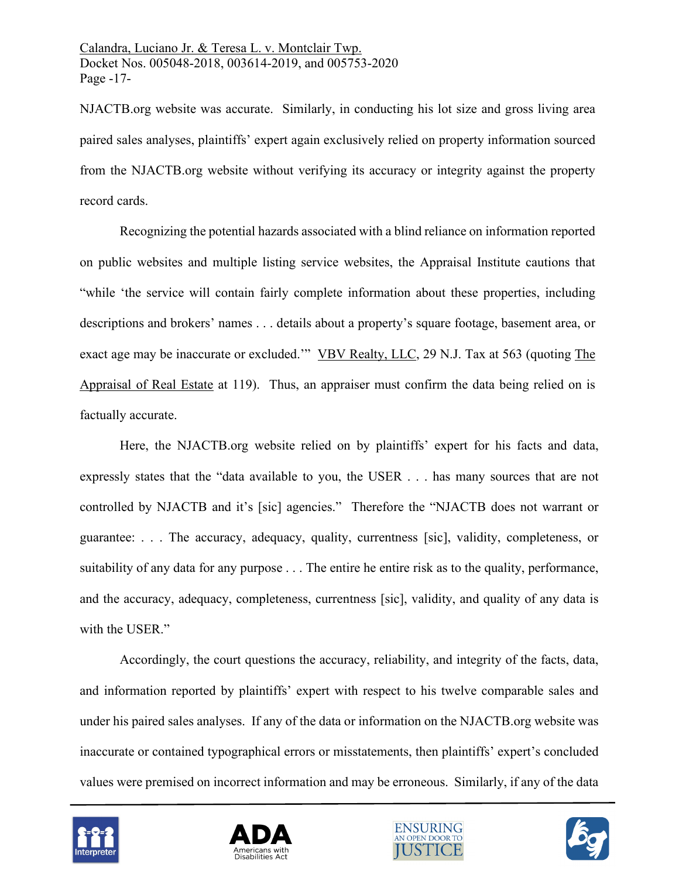NJACTB.org website was accurate. Similarly, in conducting his lot size and gross living area paired sales analyses, plaintiffs' expert again exclusively relied on property information sourced from the NJACTB.org website without verifying its accuracy or integrity against the property record cards.

Recognizing the potential hazards associated with a blind reliance on information reported on public websites and multiple listing service websites, the Appraisal Institute cautions that "while 'the service will contain fairly complete information about these properties, including descriptions and brokers' names . . . details about a property's square footage, basement area, or exact age may be inaccurate or excluded." VBV Realty, LLC, 29 N.J. Tax at 563 (quoting The Appraisal of Real Estate at 119). Thus, an appraiser must confirm the data being relied on is factually accurate.

Here, the NJACTB.org website relied on by plaintiffs' expert for his facts and data, expressly states that the "data available to you, the USER . . . has many sources that are not controlled by NJACTB and it's [sic] agencies." Therefore the "NJACTB does not warrant or guarantee: . . . The accuracy, adequacy, quality, currentness [sic], validity, completeness, or suitability of any data for any purpose . . . The entire he entire risk as to the quality, performance, and the accuracy, adequacy, completeness, currentness [sic], validity, and quality of any data is with the USER."

Accordingly, the court questions the accuracy, reliability, and integrity of the facts, data, and information reported by plaintiffs' expert with respect to his twelve comparable sales and under his paired sales analyses. If any of the data or information on the NJACTB.org website was inaccurate or contained typographical errors or misstatements, then plaintiffs' expert's concluded values were premised on incorrect information and may be erroneous. Similarly, if any of the data







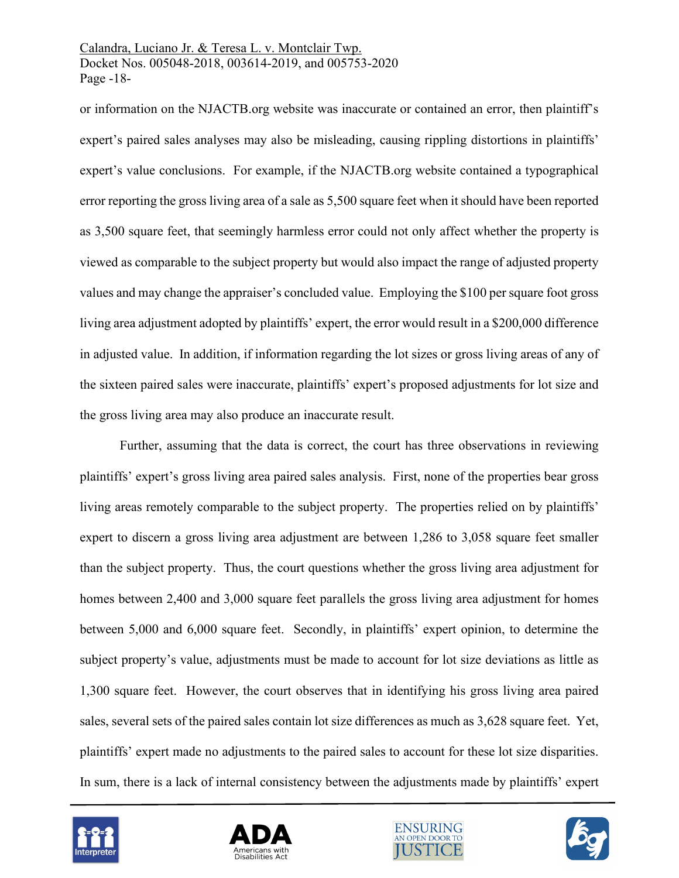### Calandra, Luciano Jr. & Teresa L. v. Montclair Twp. Docket Nos. 005048-2018, 003614-2019, and 005753-2020 Page -18-

or information on the NJACTB.org website was inaccurate or contained an error, then plaintiff's expert's paired sales analyses may also be misleading, causing rippling distortions in plaintiffs' expert's value conclusions. For example, if the NJACTB.org website contained a typographical error reporting the gross living area of a sale as 5,500 square feet when it should have been reported as 3,500 square feet, that seemingly harmless error could not only affect whether the property is viewed as comparable to the subject property but would also impact the range of adjusted property values and may change the appraiser's concluded value. Employing the \$100 per square foot gross living area adjustment adopted by plaintiffs' expert, the error would result in a \$200,000 difference in adjusted value. In addition, if information regarding the lot sizes or gross living areas of any of the sixteen paired sales were inaccurate, plaintiffs' expert's proposed adjustments for lot size and the gross living area may also produce an inaccurate result.

Further, assuming that the data is correct, the court has three observations in reviewing plaintiffs' expert's gross living area paired sales analysis. First, none of the properties bear gross living areas remotely comparable to the subject property. The properties relied on by plaintiffs' expert to discern a gross living area adjustment are between 1,286 to 3,058 square feet smaller than the subject property. Thus, the court questions whether the gross living area adjustment for homes between 2,400 and 3,000 square feet parallels the gross living area adjustment for homes between 5,000 and 6,000 square feet. Secondly, in plaintiffs' expert opinion, to determine the subject property's value, adjustments must be made to account for lot size deviations as little as 1,300 square feet. However, the court observes that in identifying his gross living area paired sales, several sets of the paired sales contain lot size differences as much as 3,628 square feet. Yet, plaintiffs' expert made no adjustments to the paired sales to account for these lot size disparities. In sum, there is a lack of internal consistency between the adjustments made by plaintiffs' expert







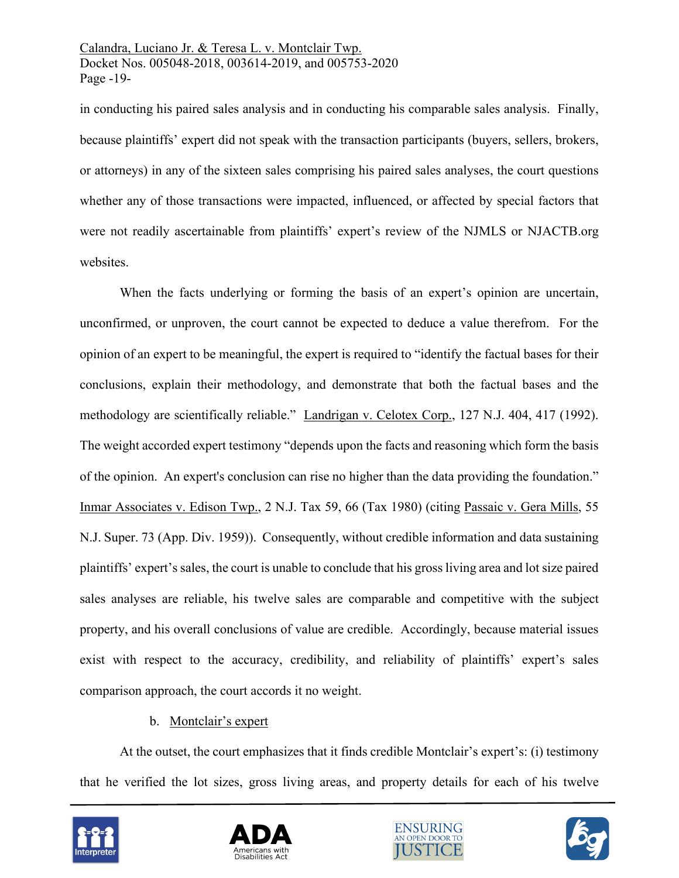Calandra, Luciano Jr. & Teresa L. v. Montclair Twp. Docket Nos. 005048-2018, 003614-2019, and 005753-2020 Page -19-

in conducting his paired sales analysis and in conducting his comparable sales analysis. Finally, because plaintiffs' expert did not speak with the transaction participants (buyers, sellers, brokers, or attorneys) in any of the sixteen sales comprising his paired sales analyses, the court questions whether any of those transactions were impacted, influenced, or affected by special factors that were not readily ascertainable from plaintiffs' expert's review of the NJMLS or NJACTB.org websites.

When the facts underlying or forming the basis of an expert's opinion are uncertain, unconfirmed, or unproven, the court cannot be expected to deduce a value therefrom. For the opinion of an expert to be meaningful, the expert is required to "identify the factual bases for their conclusions, explain their methodology, and demonstrate that both the factual bases and the methodology are scientifically reliable." Landrigan v. Celotex Corp., 127 N.J. 404, 417 (1992). The weight accorded expert testimony "depends upon the facts and reasoning which form the basis of the opinion. An expert's conclusion can rise no higher than the data providing the foundation." Inmar Associates [v. Edison Twp., 2 N.J. Tax](https://advance.lexis.com/api/document/collection/cases/id/3SF5-PXG0-000H-S0YH-00000-00?page=66&reporter=3305&context=1000516) 59, 66 (Tax 1980) (citing Passaic v. Gera Mills, 55 N.J. Super. 73 (App. Div. 1959)). Consequently, without credible information and data sustaining plaintiffs' expert's sales, the court is unable to conclude that his gross living area and lot size paired sales analyses are reliable, his twelve sales are comparable and competitive with the subject property, and his overall conclusions of value are credible. Accordingly, because material issues exist with respect to the accuracy, credibility, and reliability of plaintiffs' expert's sales comparison approach, the court accords it no weight.

# b. Montclair's expert

At the outset, the court emphasizes that it finds credible Montclair's expert's: (i) testimony that he verified the lot sizes, gross living areas, and property details for each of his twelve







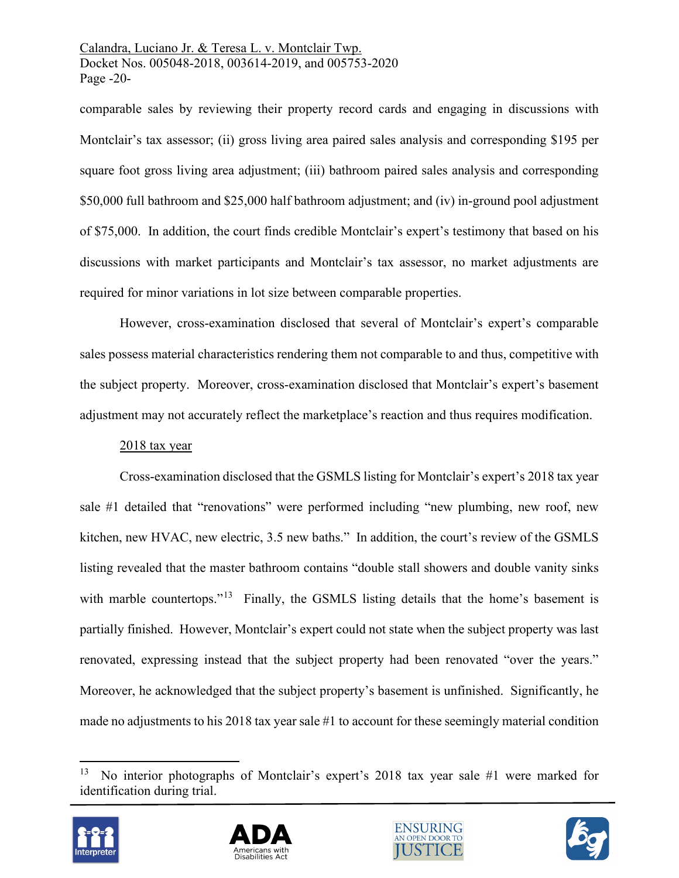Calandra, Luciano Jr. & Teresa L. v. Montclair Twp. Docket Nos. 005048-2018, 003614-2019, and 005753-2020 Page -20-

comparable sales by reviewing their property record cards and engaging in discussions with Montclair's tax assessor; (ii) gross living area paired sales analysis and corresponding \$195 per square foot gross living area adjustment; (iii) bathroom paired sales analysis and corresponding \$50,000 full bathroom and \$25,000 half bathroom adjustment; and (iv) in-ground pool adjustment of \$75,000. In addition, the court finds credible Montclair's expert's testimony that based on his discussions with market participants and Montclair's tax assessor, no market adjustments are required for minor variations in lot size between comparable properties.

However, cross-examination disclosed that several of Montclair's expert's comparable sales possess material characteristics rendering them not comparable to and thus, competitive with the subject property. Moreover, cross-examination disclosed that Montclair's expert's basement adjustment may not accurately reflect the marketplace's reaction and thus requires modification.

# 2018 tax year

Cross-examination disclosed that the GSMLS listing for Montclair's expert's 2018 tax year sale #1 detailed that "renovations" were performed including "new plumbing, new roof, new kitchen, new HVAC, new electric, 3.5 new baths." In addition, the court's review of the GSMLS listing revealed that the master bathroom contains "double stall showers and double vanity sinks with marble countertops."<sup>13</sup> Finally, the GSMLS listing details that the home's basement is partially finished. However, Montclair's expert could not state when the subject property was last renovated, expressing instead that the subject property had been renovated "over the years." Moreover, he acknowledged that the subject property's basement is unfinished. Significantly, he made no adjustments to his 2018 tax year sale #1 to account for these seemingly material condition

<span id="page-19-0"></span>No interior photographs of Montclair's expert's 2018 tax year sale #1 were marked for identification during trial.







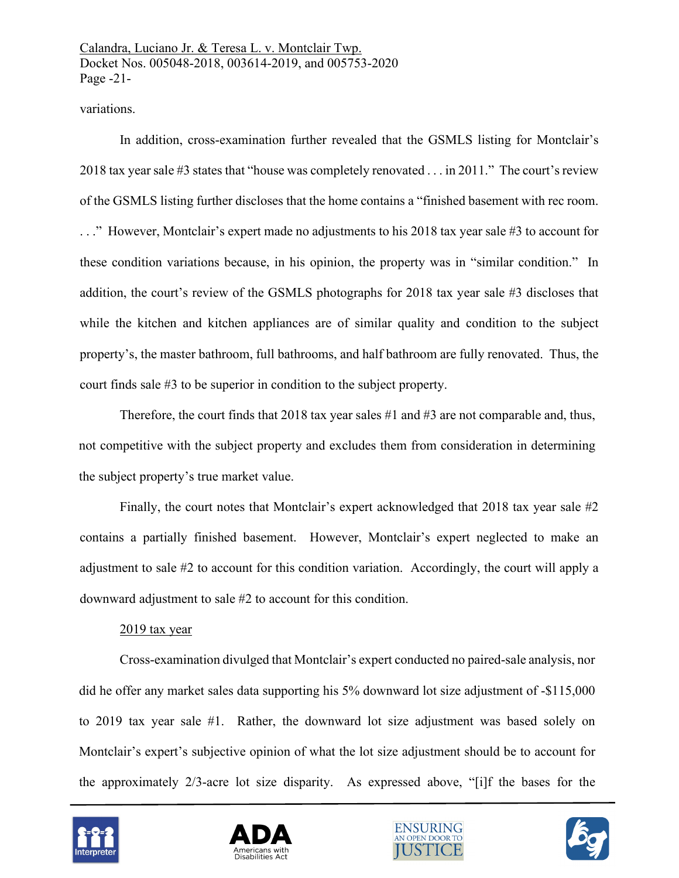### variations.

In addition, cross-examination further revealed that the GSMLS listing for Montclair's 2018 tax year sale #3 states that "house was completely renovated . . . in 2011." The court's review of the GSMLS listing further discloses that the home contains a "finished basement with rec room. . . ." However, Montclair's expert made no adjustments to his 2018 tax year sale #3 to account for these condition variations because, in his opinion, the property was in "similar condition." In addition, the court's review of the GSMLS photographs for 2018 tax year sale #3 discloses that while the kitchen and kitchen appliances are of similar quality and condition to the subject property's, the master bathroom, full bathrooms, and half bathroom are fully renovated. Thus, the court finds sale #3 to be superior in condition to the subject property.

Therefore, the court finds that 2018 tax year sales #1 and #3 are not comparable and, thus, not competitive with the subject property and excludes them from consideration in determining the subject property's true market value.

Finally, the court notes that Montclair's expert acknowledged that 2018 tax year sale #2 contains a partially finished basement. However, Montclair's expert neglected to make an adjustment to sale #2 to account for this condition variation. Accordingly, the court will apply a downward adjustment to sale #2 to account for this condition.

#### 2019 tax year

Cross-examination divulged that Montclair's expert conducted no paired-sale analysis, nor did he offer any market sales data supporting his 5% downward lot size adjustment of -\$115,000 to 2019 tax year sale #1. Rather, the downward lot size adjustment was based solely on Montclair's expert's subjective opinion of what the lot size adjustment should be to account for the approximately 2/3-acre lot size disparity. As expressed above, "[i]f the bases for the







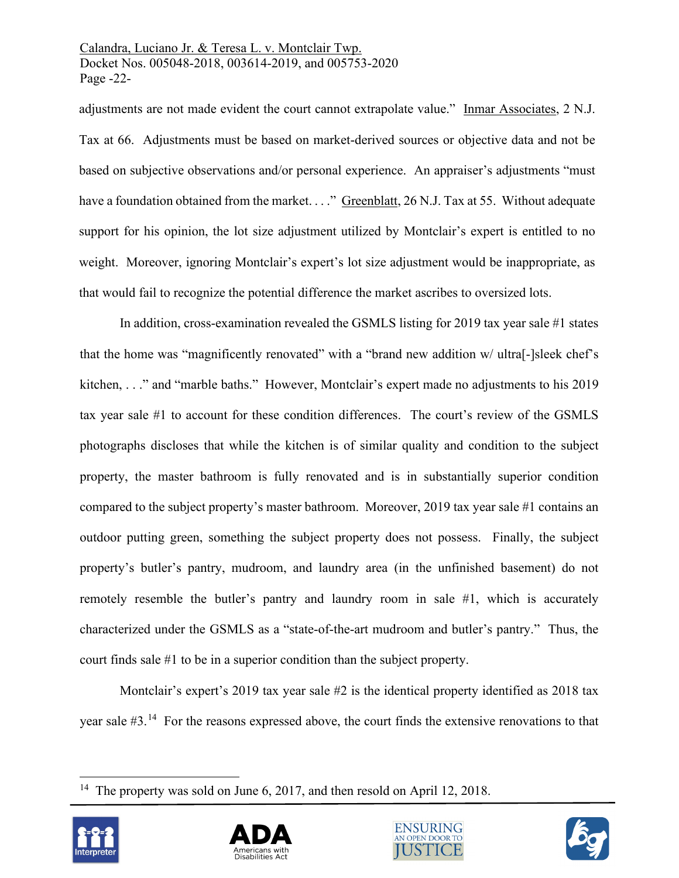Calandra, Luciano Jr. & Teresa L. v. Montclair Twp. Docket Nos. 005048-2018, 003614-2019, and 005753-2020 Page -22-

adjustments are not made evident the court cannot extrapolate value." [Inmar Associates, 2 N.J.](https://advance.lexis.com/api/document/collection/cases/id/3SF5-PXG0-000H-S0YH-00000-00?page=66&reporter=3305&context=1000516)  [Tax at 66.](https://advance.lexis.com/api/document/collection/cases/id/3SF5-PXG0-000H-S0YH-00000-00?page=66&reporter=3305&context=1000516) Adjustments must be based on market-derived sources or objective data and not be based on subjective observations and/or personal experience. An appraiser's adjustments "must have a foundation obtained from the market. . . ." Greenblatt, 26 N.J. Tax at 55. Without adequate support for his opinion, the lot size adjustment utilized by Montclair's expert is entitled to no weight. Moreover, ignoring Montclair's expert's lot size adjustment would be inappropriate, as that would fail to recognize the potential difference the market ascribes to oversized lots.

In addition, cross-examination revealed the GSMLS listing for 2019 tax year sale #1 states that the home was "magnificently renovated" with a "brand new addition w/ ultra[-]sleek chef's kitchen, . . ." and "marble baths." However, Montclair's expert made no adjustments to his 2019 tax year sale #1 to account for these condition differences. The court's review of the GSMLS photographs discloses that while the kitchen is of similar quality and condition to the subject property, the master bathroom is fully renovated and is in substantially superior condition compared to the subject property's master bathroom. Moreover, 2019 tax year sale #1 contains an outdoor putting green, something the subject property does not possess. Finally, the subject property's butler's pantry, mudroom, and laundry area (in the unfinished basement) do not remotely resemble the butler's pantry and laundry room in sale #1, which is accurately characterized under the GSMLS as a "state-of-the-art mudroom and butler's pantry." Thus, the court finds sale #1 to be in a superior condition than the subject property.

Montclair's expert's 2019 tax year sale #2 is the identical property identified as 2018 tax year sale #3.[14](#page-21-0) For the reasons expressed above, the court finds the extensive renovations to that

<span id="page-21-0"></span><sup>&</sup>lt;sup>14</sup> The property was sold on June 6, 2017, and then resold on April 12, 2018.







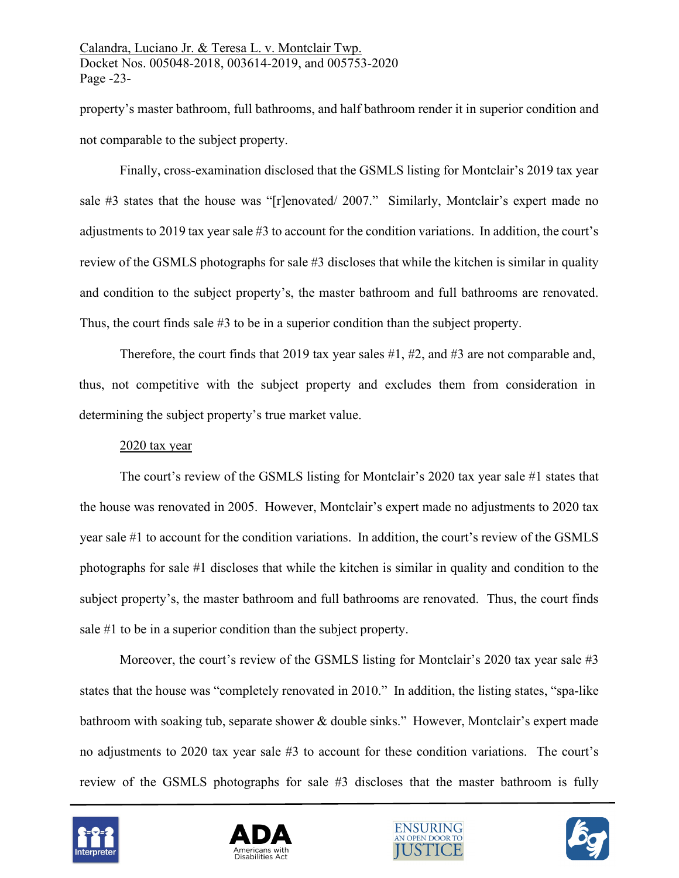property's master bathroom, full bathrooms, and half bathroom render it in superior condition and not comparable to the subject property.

Finally, cross-examination disclosed that the GSMLS listing for Montclair's 2019 tax year sale #3 states that the house was "[r]enovated/ 2007." Similarly, Montclair's expert made no adjustments to 2019 tax year sale #3 to account for the condition variations. In addition, the court's review of the GSMLS photographs for sale #3 discloses that while the kitchen is similar in quality and condition to the subject property's, the master bathroom and full bathrooms are renovated. Thus, the court finds sale #3 to be in a superior condition than the subject property.

Therefore, the court finds that 2019 tax year sales #1, #2, and #3 are not comparable and, thus, not competitive with the subject property and excludes them from consideration in determining the subject property's true market value.

### 2020 tax year

The court's review of the GSMLS listing for Montclair's 2020 tax year sale #1 states that the house was renovated in 2005. However, Montclair's expert made no adjustments to 2020 tax year sale #1 to account for the condition variations. In addition, the court's review of the GSMLS photographs for sale #1 discloses that while the kitchen is similar in quality and condition to the subject property's, the master bathroom and full bathrooms are renovated. Thus, the court finds sale #1 to be in a superior condition than the subject property.

Moreover, the court's review of the GSMLS listing for Montclair's 2020 tax year sale #3 states that the house was "completely renovated in 2010." In addition, the listing states, "spa-like bathroom with soaking tub, separate shower & double sinks." However, Montclair's expert made no adjustments to 2020 tax year sale #3 to account for these condition variations. The court's review of the GSMLS photographs for sale #3 discloses that the master bathroom is fully







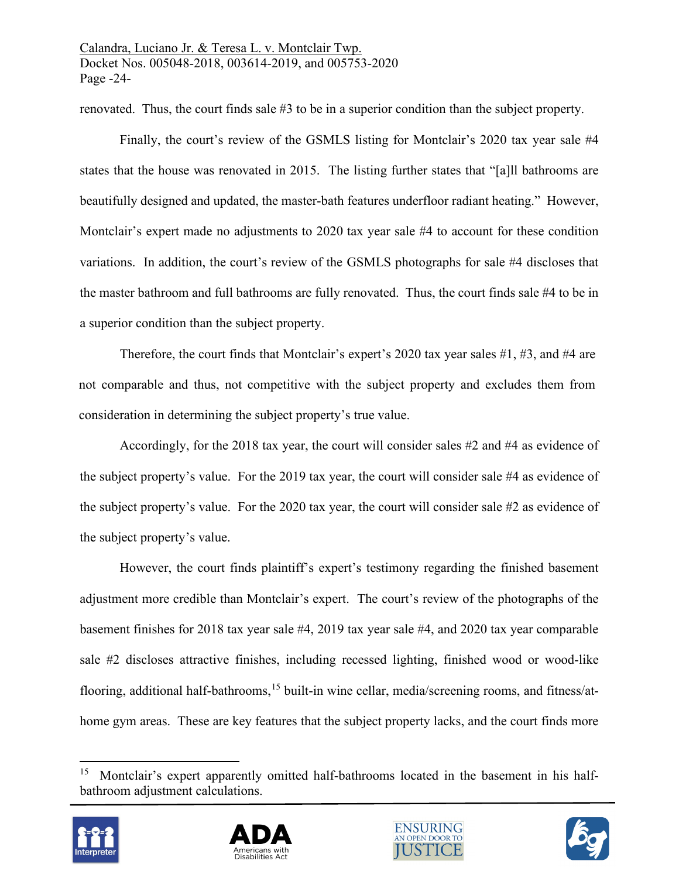renovated. Thus, the court finds sale #3 to be in a superior condition than the subject property.

Finally, the court's review of the GSMLS listing for Montclair's 2020 tax year sale #4 states that the house was renovated in 2015. The listing further states that "[a]ll bathrooms are beautifully designed and updated, the master-bath features underfloor radiant heating." However, Montclair's expert made no adjustments to 2020 tax year sale #4 to account for these condition variations. In addition, the court's review of the GSMLS photographs for sale #4 discloses that the master bathroom and full bathrooms are fully renovated. Thus, the court finds sale #4 to be in a superior condition than the subject property.

Therefore, the court finds that Montclair's expert's 2020 tax year sales #1, #3, and #4 are not comparable and thus, not competitive with the subject property and excludes them from consideration in determining the subject property's true value.

Accordingly, for the 2018 tax year, the court will consider sales #2 and #4 as evidence of the subject property's value. For the 2019 tax year, the court will consider sale #4 as evidence of the subject property's value. For the 2020 tax year, the court will consider sale #2 as evidence of the subject property's value.

However, the court finds plaintiff's expert's testimony regarding the finished basement adjustment more credible than Montclair's expert. The court's review of the photographs of the basement finishes for 2018 tax year sale #4, 2019 tax year sale #4, and 2020 tax year comparable sale #2 discloses attractive finishes, including recessed lighting, finished wood or wood-like flooring, additional half-bathrooms, [15](#page-23-0) built-in wine cellar, media/screening rooms, and fitness/athome gym areas. These are key features that the subject property lacks, and the court finds more

<span id="page-23-0"></span>Montclair's expert apparently omitted half-bathrooms located in the basement in his halfbathroom adjustment calculations.







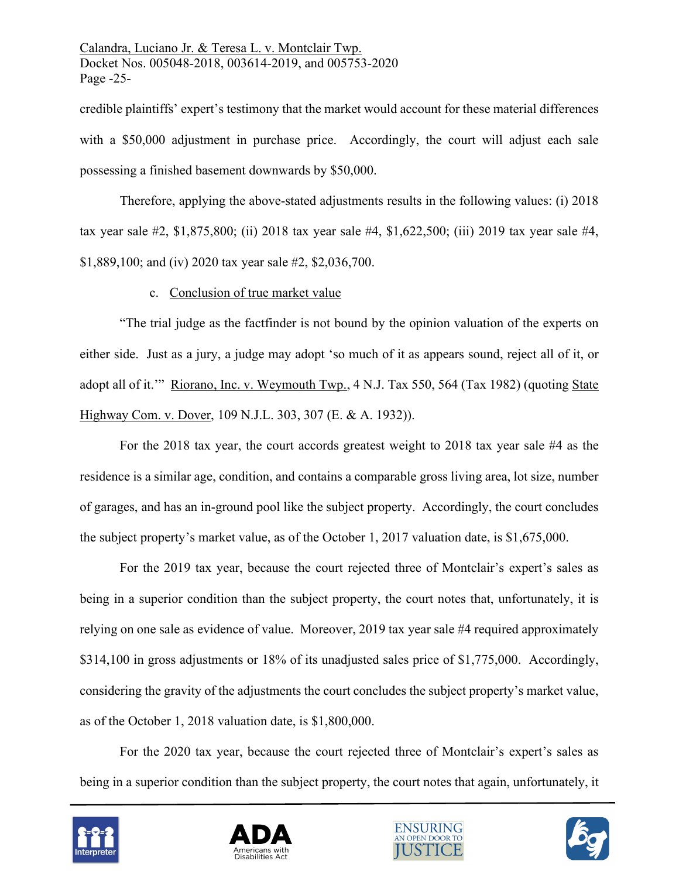credible plaintiffs' expert's testimony that the market would account for these material differences with a \$50,000 adjustment in purchase price. Accordingly, the court will adjust each sale possessing a finished basement downwards by \$50,000.

Therefore, applying the above-stated adjustments results in the following values: (i) 2018 tax year sale #2, \$1,875,800; (ii) 2018 tax year sale #4, \$1,622,500; (iii) 2019 tax year sale #4, \$1,889,100; and (iv) 2020 tax year sale #2, \$2,036,700.

### c. Conclusion of true market value

"The trial judge as the factfinder is not bound by the opinion valuation of the experts on either side. Just as a jury, a judge may adopt 'so much of it as appears sound, reject all of it, or adopt all of it.'" [Riorano, Inc. v. Weymouth Twp., 4 N.J. Tax 550, 564 \(Tax 1982\)](https://advance.lexis.com/api/document/collection/cases/id/3SF5-PWF0-000H-S0RW-00000-00?page=564&reporter=3305&context=1000516) (quoting State Highway Com. v. Dover, 109 N.J.L. 303, 307 (E. & A. 1932)).

For the 2018 tax year, the court accords greatest weight to 2018 tax year sale #4 as the residence is a similar age, condition, and contains a comparable gross living area, lot size, number of garages, and has an in-ground pool like the subject property. Accordingly, the court concludes the subject property's market value, as of the October 1, 2017 valuation date, is \$1,675,000.

For the 2019 tax year, because the court rejected three of Montclair's expert's sales as being in a superior condition than the subject property, the court notes that, unfortunately, it is relying on one sale as evidence of value. Moreover, 2019 tax year sale #4 required approximately \$314,100 in gross adjustments or 18% of its unadjusted sales price of \$1,775,000. Accordingly, considering the gravity of the adjustments the court concludes the subject property's market value, as of the October 1, 2018 valuation date, is \$1,800,000.

For the 2020 tax year, because the court rejected three of Montclair's expert's sales as being in a superior condition than the subject property, the court notes that again, unfortunately, it







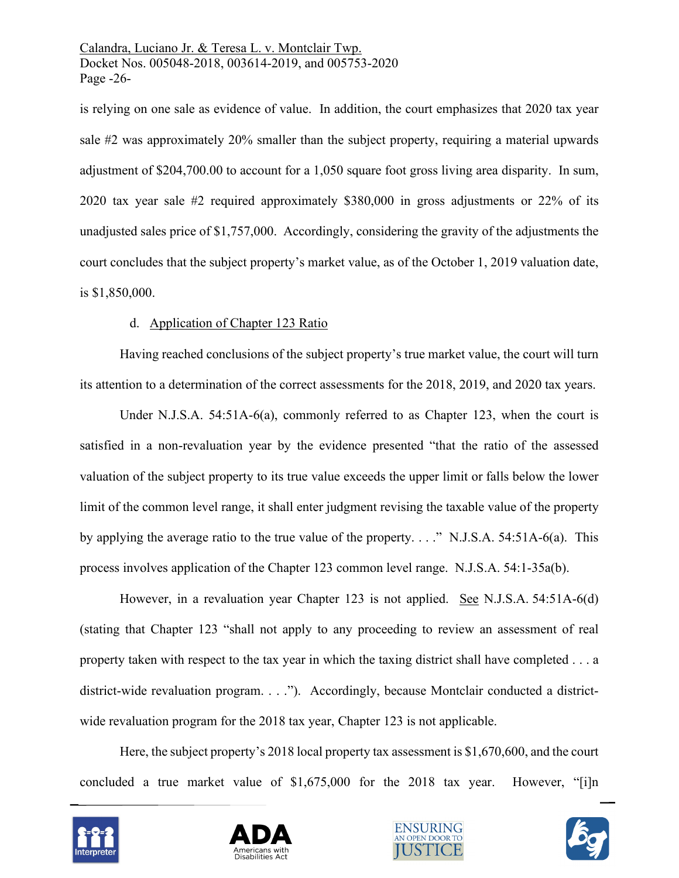Calandra, Luciano Jr. & Teresa L. v. Montclair Twp. Docket Nos. 005048-2018, 003614-2019, and 005753-2020 Page -26-

is relying on one sale as evidence of value. In addition, the court emphasizes that 2020 tax year sale #2 was approximately 20% smaller than the subject property, requiring a material upwards adjustment of \$204,700.00 to account for a 1,050 square foot gross living area disparity. In sum, 2020 tax year sale #2 required approximately \$380,000 in gross adjustments or 22% of its unadjusted sales price of \$1,757,000. Accordingly, considering the gravity of the adjustments the court concludes that the subject property's market value, as of the October 1, 2019 valuation date, is \$1,850,000.

### d. Application of Chapter 123 Ratio

Having reached conclusions of the subject property's true market value, the court will turn its attention to a determination of the correct assessments for the 2018, 2019, and 2020 tax years.

Under N.J.S.A. 54:51A-6(a), commonly referred to as Chapter 123, when the court is satisfied in a non-revaluation year by the evidence presented "that the ratio of the assessed valuation of the subject property to its true value exceeds the upper limit or falls below the lower limit of the common level range, it shall enter judgment revising the taxable value of the property by applying the average ratio to the true value of the property. . . ." N.J.S.A. 54:51A-6(a). This process involves application of the Chapter 123 common level range. [N.J.S.A.](https://advance.lexis.com/document/?pdmfid=1000516&crid=54a10ae1-d873-44e4-81c1-4519cb4d8ca0&pddocfullpath=%2Fshared%2Fdocument%2Fstatutes-legislation%2Furn%3AcontentItem%3A5D6M-28X0-004F-J4XT-00000-00&pdpinpoint=_a&pdcontentcomponentid=9077&pddoctitle=N.J.S.A.+54%3A1-35a(a)&ecomp=qk9g&prid=a2065c69-8741-4133-80d3-db8a727a77d5) 54:1-35a(b).

However, in a revaluation year Chapter 123 is not applied. See N.J.S.A. 54:51A-6(d) (stating that Chapter 123 "shall not apply to any proceeding to review an assessment of real property taken with respect to the tax year in which the taxing district shall have completed . . . a district-wide revaluation program. . . ."). Accordingly, because Montclair conducted a districtwide revaluation program for the 2018 tax year, Chapter 123 is not applicable.

Here, the subject property's 2018 local property tax assessment is \$1,670,600, and the court concluded a true market value of \$1,675,000 for the 2018 tax year. However, "[i]n







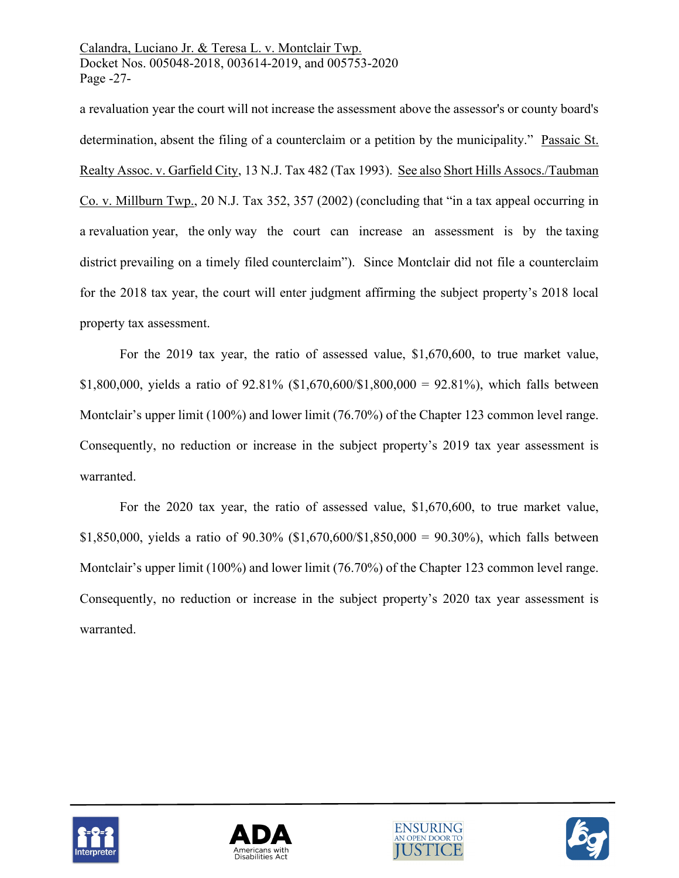Calandra, Luciano Jr. & Teresa L. v. Montclair Twp. Docket Nos. 005048-2018, 003614-2019, and 005753-2020 Page -27-

a revaluation year the court will not increase the assessment above the assessor's or county board's determination, absent the filing of a counterclaim or a petition by the municipality." Passaic St. Realty Assoc. v. Garfield City, 13 N.J. Tax 482 (Tax 1993). See also Short Hills Assocs./Taubman Co. v. Millburn Twp., 20 N.J. Tax 352, 357 (2002) (concluding that "in a tax appeal occurring in a revaluation year, the only way the court can increase an assessment is by the taxing district prevailing on a timely filed counterclaim"). Since Montclair did not file a counterclaim for the 2018 tax year, the court will enter judgment affirming the subject property's 2018 local property tax assessment.

For the 2019 tax year, the ratio of assessed value, \$1,670,600, to true market value, \$1,800,000, yields a ratio of 92.81% (\$1,670,600/\$1,800,000 = 92.81%), which falls between Montclair's upper limit (100%) and lower limit (76.70%) of the Chapter 123 common level range. Consequently, no reduction or increase in the subject property's 2019 tax year assessment is warranted.

For the 2020 tax year, the ratio of assessed value, \$1,670,600, to true market value, \$1,850,000, yields a ratio of 90.30% (\$1,670,600/\$1,850,000 = 90.30%), which falls between Montclair's upper limit (100%) and lower limit (76.70%) of the Chapter 123 common level range. Consequently, no reduction or increase in the subject property's 2020 tax year assessment is warranted.